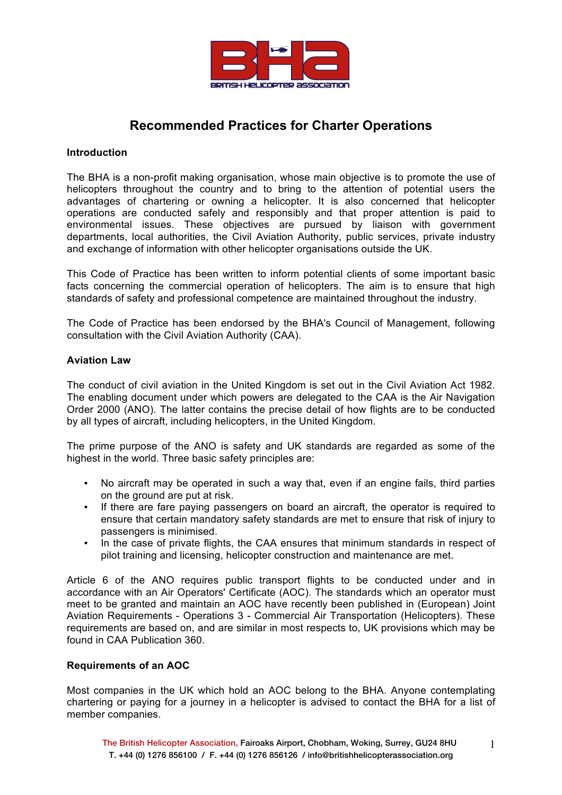

# **Recommended Practices for Charter Operations**

# **Introduction**

The BHA is a non-profit making organisation, whose main objective is to promote the use of helicopters throughout the country and to bring to the attention of potential users the advantages of chartering or owning a helicopter. It is also concerned that helicopter operations are conducted safely and responsibly and that proper attention is paid to environmental issues. These objectives are pursued by liaison with government departments, local authorities, the Civil Aviation Authority, public services, private industry and exchange of information with other helicopter organisations outside the UK.

This Code of Practice has been written to inform potential clients of some important basic facts concerning the commercial operation of helicopters. The aim is to ensure that high standards of safety and professional competence are maintained throughout the industry.

The Code of Practice has been endorsed by the BHA's Council of Management, following consultation with the Civil Aviation Authority (CAA).

## **Aviation Law**

The conduct of civil aviation in the United Kingdom is set out in the Civil Aviation Act 1982. The enabling document under which powers are delegated to the CAA is the Air Navigation Order 2000 (ANO). The latter contains the precise detail of how flights are to be conducted by all types of aircraft, including helicopters, in the United Kingdom.

The prime purpose of the ANO is safety and UK standards are regarded as some of the highest in the world. Three basic safety principles are:

- No aircraft may be operated in such a way that, even if an engine fails, third parties on the ground are put at risk.
- If there are fare paying passengers on board an aircraft, the operator is required to ensure that certain mandatory safety standards are met to ensure that risk of injury to passengers is minimised.
- In the case of private flights, the CAA ensures that minimum standards in respect of pilot training and licensing, helicopter construction and maintenance are met.

Article 6 of the ANO requires public transport flights to be conducted under and in accordance with an Air Operators' Certificate (AOC). The standards which an operator must meet to be granted and maintain an AOC have recently been published in (European) Joint Aviation Requirements - Operations 3 - Commercial Air Transportation (Helicopters). These requirements are based on, and are similar in most respects to, UK provisions which may be found in CAA Publication 360.

# **Requirements of an AOC**

Most companies in the UK which hold an AOC belong to the BHA. Anyone contemplating chartering or paying for a journey in a helicopter is advised to contact the BHA for a list of member companies.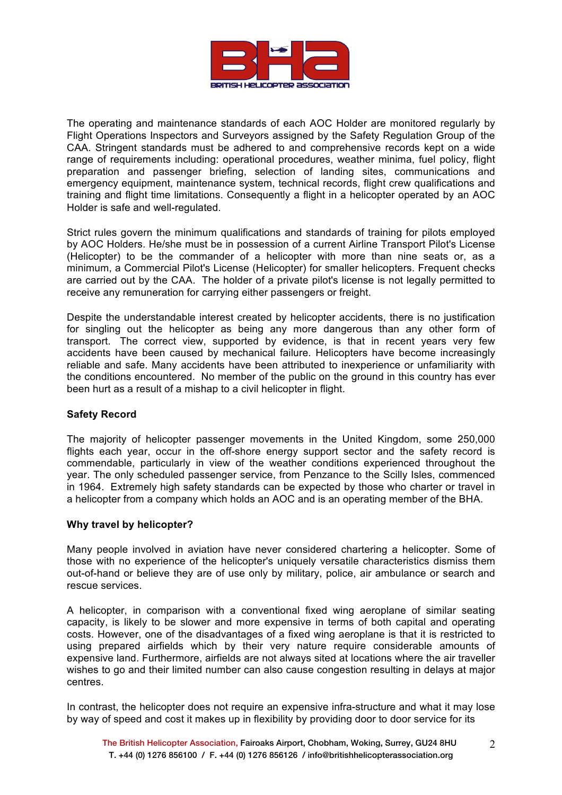

The operating and maintenance standards of each AOC Holder are monitored regularly by Flight Operations Inspectors and Surveyors assigned by the Safety Regulation Group of the CAA. Stringent standards must be adhered to and comprehensive records kept on a wide range of requirements including: operational procedures, weather minima, fuel policy, flight preparation and passenger briefing, selection of landing sites, communications and emergency equipment, maintenance system, technical records, flight crew qualifications and training and flight time limitations. Consequently a flight in a helicopter operated by an AOC Holder is safe and well-regulated.

Strict rules govern the minimum qualifications and standards of training for pilots employed by AOC Holders. He/she must be in possession of a current Airline Transport Pilot's License (Helicopter) to be the commander of a helicopter with more than nine seats or, as a minimum, a Commercial Pilot's License (Helicopter) for smaller helicopters. Frequent checks are carried out by the CAA. The holder of a private pilot's license is not legally permitted to receive any remuneration for carrying either passengers or freight.

Despite the understandable interest created by helicopter accidents, there is no justification for singling out the helicopter as being any more dangerous than any other form of transport. The correct view, supported by evidence, is that in recent years very few accidents have been caused by mechanical failure. Helicopters have become increasingly reliable and safe. Many accidents have been attributed to inexperience or unfamiliarity with the conditions encountered. No member of the public on the ground in this country has ever been hurt as a result of a mishap to a civil helicopter in flight.

# **Safety Record**

The majority of helicopter passenger movements in the United Kingdom, some 250,000 flights each year, occur in the off-shore energy support sector and the safety record is commendable, particularly in view of the weather conditions experienced throughout the year. The only scheduled passenger service, from Penzance to the Scilly Isles, commenced in 1964. Extremely high safety standards can be expected by those who charter or travel in a helicopter from a company which holds an AOC and is an operating member of the BHA.

#### **Why travel by helicopter?**

Many people involved in aviation have never considered chartering a helicopter. Some of those with no experience of the helicopter's uniquely versatile characteristics dismiss them out-of-hand or believe they are of use only by military, police, air ambulance or search and rescue services.

A helicopter, in comparison with a conventional fixed wing aeroplane of similar seating capacity, is likely to be slower and more expensive in terms of both capital and operating costs. However, one of the disadvantages of a fixed wing aeroplane is that it is restricted to using prepared airfields which by their very nature require considerable amounts of expensive land. Furthermore, airfields are not always sited at locations where the air traveller wishes to go and their limited number can also cause congestion resulting in delays at major centres.

In contrast, the helicopter does not require an expensive infra-structure and what it may lose by way of speed and cost it makes up in flexibility by providing door to door service for its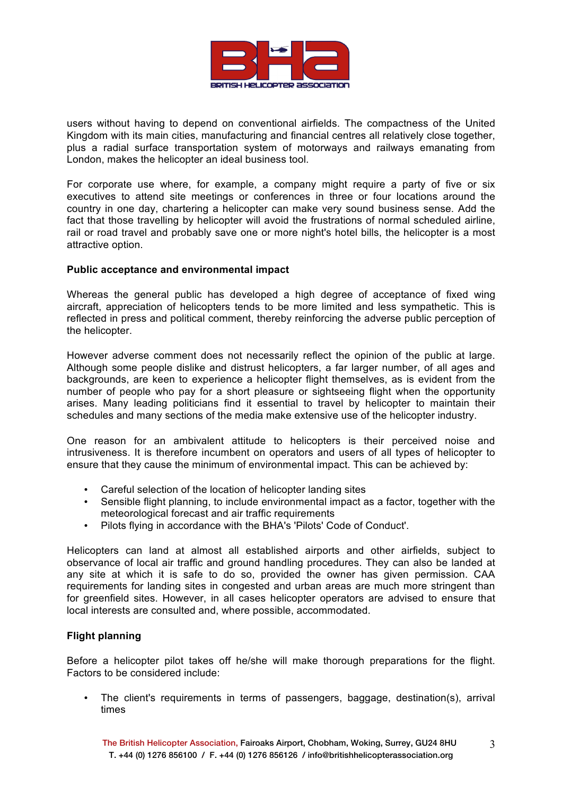

users without having to depend on conventional airfields. The compactness of the United Kingdom with its main cities, manufacturing and financial centres all relatively close together, plus a radial surface transportation system of motorways and railways emanating from London, makes the helicopter an ideal business tool.

For corporate use where, for example, a company might require a party of five or six executives to attend site meetings or conferences in three or four locations around the country in one day, chartering a helicopter can make very sound business sense. Add the fact that those travelling by helicopter will avoid the frustrations of normal scheduled airline, rail or road travel and probably save one or more night's hotel bills, the helicopter is a most attractive option.

## **Public acceptance and environmental impact**

Whereas the general public has developed a high degree of acceptance of fixed wing aircraft, appreciation of helicopters tends to be more limited and less sympathetic. This is reflected in press and political comment, thereby reinforcing the adverse public perception of the helicopter.

However adverse comment does not necessarily reflect the opinion of the public at large. Although some people dislike and distrust helicopters, a far larger number, of all ages and backgrounds, are keen to experience a helicopter flight themselves, as is evident from the number of people who pay for a short pleasure or sightseeing flight when the opportunity arises. Many leading politicians find it essential to travel by helicopter to maintain their schedules and many sections of the media make extensive use of the helicopter industry.

One reason for an ambivalent attitude to helicopters is their perceived noise and intrusiveness. It is therefore incumbent on operators and users of all types of helicopter to ensure that they cause the minimum of environmental impact. This can be achieved by:

- Careful selection of the location of helicopter landing sites
- Sensible flight planning, to include environmental impact as a factor, together with the meteorological forecast and air traffic requirements
- Pilots flying in accordance with the BHA's 'Pilots' Code of Conduct'.

Helicopters can land at almost all established airports and other airfields, subject to observance of local air traffic and ground handling procedures. They can also be landed at any site at which it is safe to do so, provided the owner has given permission. CAA requirements for landing sites in congested and urban areas are much more stringent than for greenfield sites. However, in all cases helicopter operators are advised to ensure that local interests are consulted and, where possible, accommodated.

# **Flight planning**

Before a helicopter pilot takes off he/she will make thorough preparations for the flight. Factors to be considered include:

The client's requirements in terms of passengers, baggage, destination(s), arrival times

3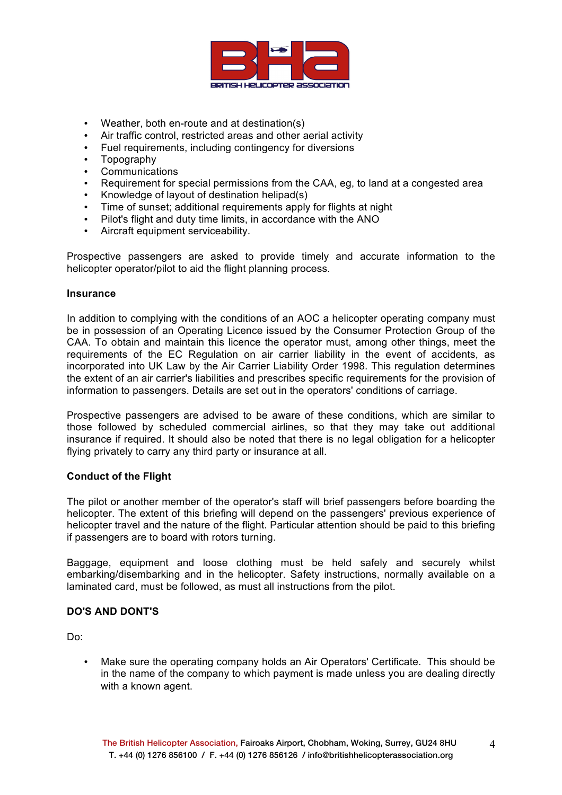

- Weather, both en-route and at destination(s)
- Air traffic control, restricted areas and other aerial activity
- Fuel requirements, including contingency for diversions
- Topography
- Communications
- Requirement for special permissions from the CAA, eg, to land at a congested area
- Knowledge of layout of destination helipad(s)<br>• Time of sunset: additional requirements apply
- Time of sunset; additional requirements apply for flights at night
- Pilot's flight and duty time limits, in accordance with the ANO
- Aircraft equipment serviceability.

Prospective passengers are asked to provide timely and accurate information to the helicopter operator/pilot to aid the flight planning process.

#### **Insurance**

In addition to complying with the conditions of an AOC a helicopter operating company must be in possession of an Operating Licence issued by the Consumer Protection Group of the CAA. To obtain and maintain this licence the operator must, among other things, meet the requirements of the EC Regulation on air carrier liability in the event of accidents, as incorporated into UK Law by the Air Carrier Liability Order 1998. This regulation determines the extent of an air carrier's liabilities and prescribes specific requirements for the provision of information to passengers. Details are set out in the operators' conditions of carriage.

Prospective passengers are advised to be aware of these conditions, which are similar to those followed by scheduled commercial airlines, so that they may take out additional insurance if required. It should also be noted that there is no legal obligation for a helicopter flying privately to carry any third party or insurance at all.

# **Conduct of the Flight**

The pilot or another member of the operator's staff will brief passengers before boarding the helicopter. The extent of this briefing will depend on the passengers' previous experience of helicopter travel and the nature of the flight. Particular attention should be paid to this briefing if passengers are to board with rotors turning.

Baggage, equipment and loose clothing must be held safely and securely whilst embarking/disembarking and in the helicopter. Safety instructions, normally available on a laminated card, must be followed, as must all instructions from the pilot.

# **DO'S AND DONT'S**

Do:

• Make sure the operating company holds an Air Operators' Certificate. This should be in the name of the company to which payment is made unless you are dealing directly with a known agent.

4